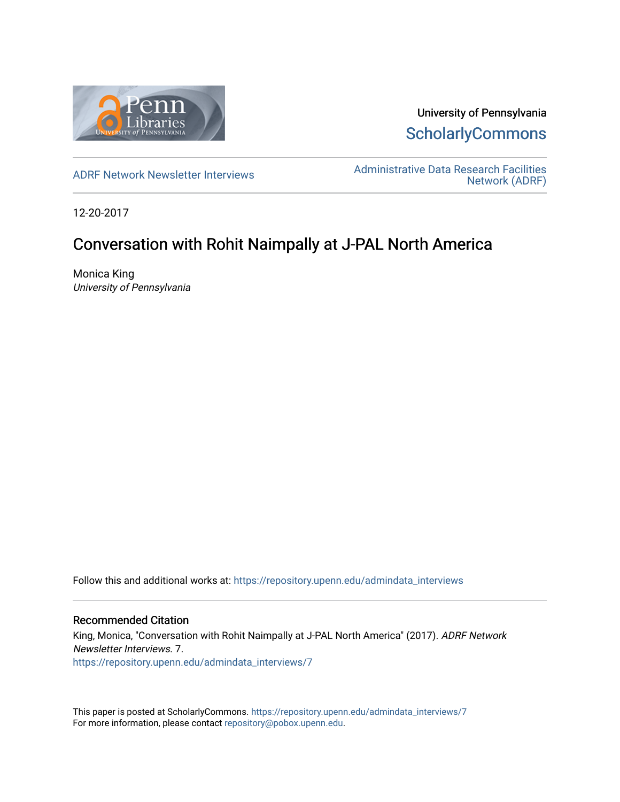

University of Pennsylvania **ScholarlyCommons** 

[ADRF Network Newsletter Interviews](https://repository.upenn.edu/admindata_interviews) [Administrative Data Research Facilities](https://repository.upenn.edu/admindata)  [Network \(ADRF\)](https://repository.upenn.edu/admindata) 

12-20-2017

# Conversation with Rohit Naimpally at J-PAL North America

Monica King University of Pennsylvania

Follow this and additional works at: [https://repository.upenn.edu/admindata\\_interviews](https://repository.upenn.edu/admindata_interviews?utm_source=repository.upenn.edu%2Fadmindata_interviews%2F7&utm_medium=PDF&utm_campaign=PDFCoverPages) 

#### Recommended Citation

King, Monica, "Conversation with Rohit Naimpally at J-PAL North America" (2017). ADRF Network Newsletter Interviews. 7. [https://repository.upenn.edu/admindata\\_interviews/7](https://repository.upenn.edu/admindata_interviews/7?utm_source=repository.upenn.edu%2Fadmindata_interviews%2F7&utm_medium=PDF&utm_campaign=PDFCoverPages) 

This paper is posted at ScholarlyCommons. [https://repository.upenn.edu/admindata\\_interviews/7](https://repository.upenn.edu/admindata_interviews/7) For more information, please contact [repository@pobox.upenn.edu.](mailto:repository@pobox.upenn.edu)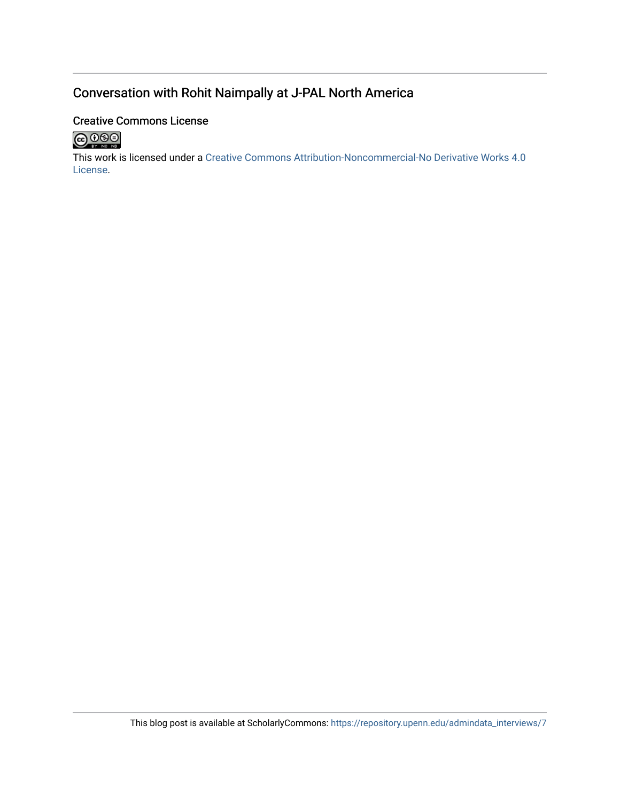# Conversation with Rohit Naimpally at J-PAL North America

# Creative Commons License



This work is licensed under a [Creative Commons Attribution-Noncommercial-No Derivative Works 4.0](http://creativecommons.org/licenses/by-nc-nd/4.0/) [License](http://creativecommons.org/licenses/by-nc-nd/4.0/).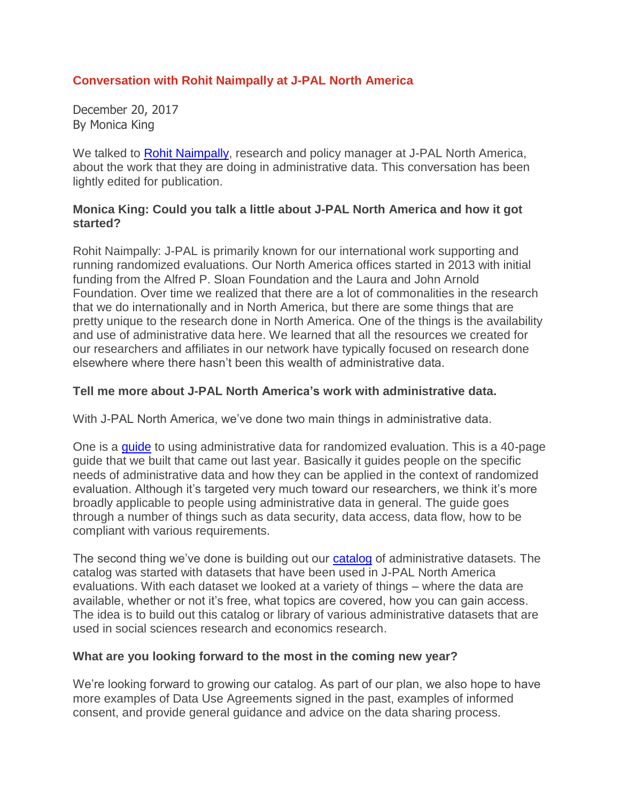### **Conversation with Rohit Naimpally at J-PAL North America**

December 20, 2017 By Monica King

We talked to Rohit [Naimpally,](https://www.povertyactionlab.org/naimpally) research and policy manager at J-PAL North America, about the work that they are doing in administrative data. This conversation has been lightly edited for publication.

#### **Monica King: Could you talk a little about J-PAL North America and how it got started?**

Rohit Naimpally: J-PAL is primarily known for our international work supporting and running randomized evaluations. Our North America offices started in 2013 with initial funding from the Alfred P. Sloan Foundation and the Laura and John Arnold Foundation. Over time we realized that there are a lot of commonalities in the research that we do internationally and in North America, but there are some things that are pretty unique to the research done in North America. One of the things is the availability and use of administrative data here. We learned that all the resources we created for our researchers and affiliates in our network have typically focused on research done elsewhere where there hasn't been this wealth of administrative data.

### **Tell me more about J-PAL North America's work with administrative data.**

With J-PAL North America, we've done two main things in administrative data.

One is a [guide](https://www.povertyactionlab.org/admindataguide) to using administrative data for randomized evaluation. This is a 40-page guide that we built that came out last year. Basically it guides people on the specific needs of administrative data and how they can be applied in the context of randomized evaluation. Although it's targeted very much toward our researchers, we think it's more broadly applicable to people using administrative data in general. The guide goes through a number of things such as data security, data access, data flow, how to be compliant with various requirements.

The second thing we've done is building out our [catalog](https://www.povertyactionlab.org/admindatacatalog) of administrative datasets. The catalog was started with datasets that have been used in J-PAL North America evaluations. With each dataset we looked at a variety of things – where the data are available, whether or not it's free, what topics are covered, how you can gain access. The idea is to build out this catalog or library of various administrative datasets that are used in social sciences research and economics research.

#### **What are you looking forward to the most in the coming new year?**

We're looking forward to growing our catalog. As part of our plan, we also hope to have more examples of Data Use Agreements signed in the past, examples of informed consent, and provide general guidance and advice on the data sharing process.